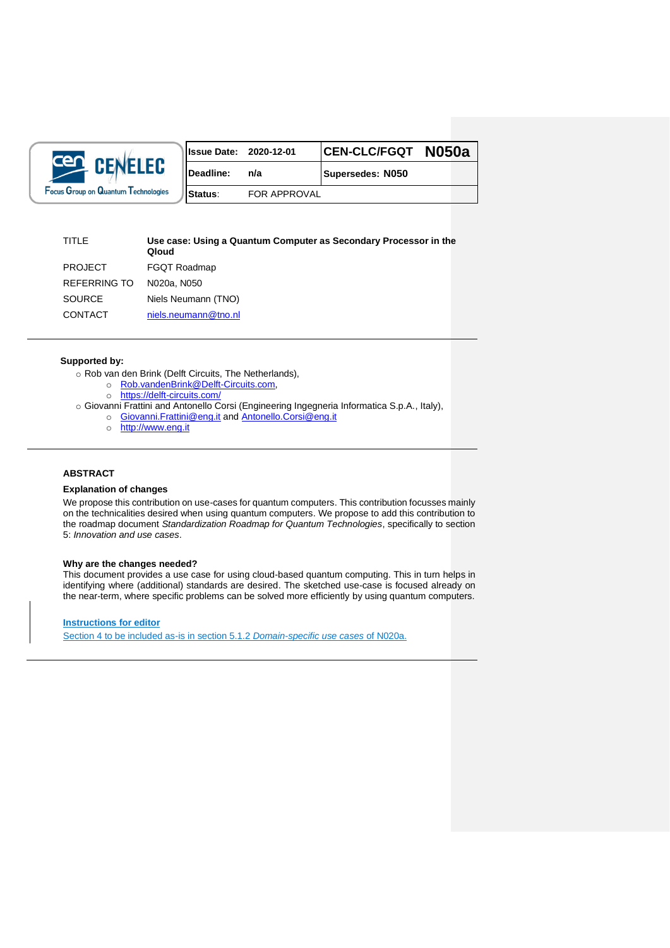

| <b>Issue Date: 2020-12-01</b> |              | CEN-CLC/FGQT N050a |  |
|-------------------------------|--------------|--------------------|--|
| <b>Deadline:</b>              | n/a          | Supersedes: N050   |  |
| Status:                       | FOR APPROVAL |                    |  |

## TITLE **Use case: Using a Quantum Computer as Secondary Processor in the Qloud** PROJECT FGQT Roadmap REFERRING TO N020a, N050

| טו טאונותו בתו | <b>INUZUA. INUJU</b> |
|----------------|----------------------|
| SOURCE         | Niels Neumann (TNO)  |
| <b>CONTACT</b> | niels.neumann@tno.nl |

## **Supported by:**

- o Rob van den Brink (Delft Circuits, The Netherlands),
	- o [Rob.vandenBrink@Delft-Circuits.com,](mailto:Rob.vandenBrink@Delft-Circuits.com)
	- o <https://delft-circuits.com/>
- o Giovanni Frattini and Antonello Corsi (Engineering Ingegneria Informatica S.p.A., Italy),
	- o [Giovanni.Frattini@eng.it](mailto:Giovanni.Frattini@eng.it) an[d Antonello.Corsi@eng.it](mailto:Antonello.Corsi@eng.it)
	- o [http://www.eng.it](http://quantware.eu/)

## **ABSTRACT**

### **Explanation of changes**

We propose this contribution on use-cases for quantum computers. This contribution focusses mainly on the technicalities desired when using quantum computers. We propose to add this contribution to the roadmap document *Standardization Roadmap for Quantum Technologies*, specifically to section 5: *Innovation and use cases*.

## **Why are the changes needed?**

This document provides a use case for using cloud-based quantum computing. This in turn helps in identifying where (additional) standards are desired. The sketched use-case is focused already on the near-term, where specific problems can be solved more efficiently by using quantum computers.

**Instructions for editor**

Section 4 to be included as-is in section 5.1.2 *Domain-specific use cases* of N020a.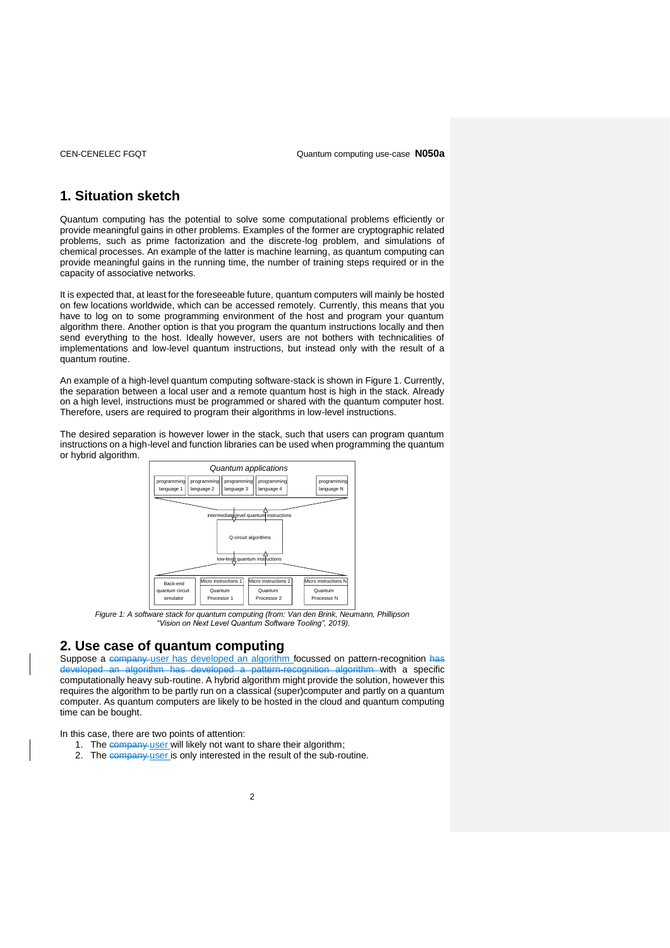# **1. Situation sketch**

Quantum computing has the potential to solve some computational problems efficiently or provide meaningful gains in other problems. Examples of the former are cryptographic related problems, such as prime factorization and the discrete-log problem, and simulations of chemical processes. An example of the latter is machine learning, as quantum computing can provide meaningful gains in the running time, the number of training steps required or in the capacity of associative networks.

It is expected that, at least for the foreseeable future, quantum computers will mainly be hosted on few locations worldwide, which can be accessed remotely. Currently, this means that you have to log on to some programming environment of the host and program your quantum algorithm there. Another option is that you program the quantum instructions locally and then send everything to the host. Ideally however, users are not bothers with technicalities of implementations and low-level quantum instructions, but instead only with the result of a quantum routine.

An example of a high-level quantum computing software-stack is shown in Figure 1. Currently, the separation between a local user and a remote quantum host is high in the stack. Already on a high level, instructions must be programmed or shared with the quantum computer host. Therefore, users are required to program their algorithms in low-level instructions.

The desired separation is however lower in the stack, such that users can program quantum instructions on a high-level and function libraries can be used when programming the quantum or hybrid algorithm.



*Figure 1: A software stack for quantum computing (from: Van den Brink, Neumann, Phillipson "Vision on Next Level Quantum Software Tooling", 2019).*

## **2. Use case of quantum computing**

Suppose a company user has developed an algorithm focussed on pattern-recognition has developed an algorithm has developed a pattern-recognition algorithm with a specific computationally heavy sub-routine. A hybrid algorithm might provide the solution, however this requires the algorithm to be partly run on a classical (super)computer and partly on a quantum computer. As quantum computers are likely to be hosted in the cloud and quantum computing time can be bought.

In this case, there are two points of attention:

- 1. The company user will likely not want to share their algorithm;
- 2. The company user is only interested in the result of the sub-routine.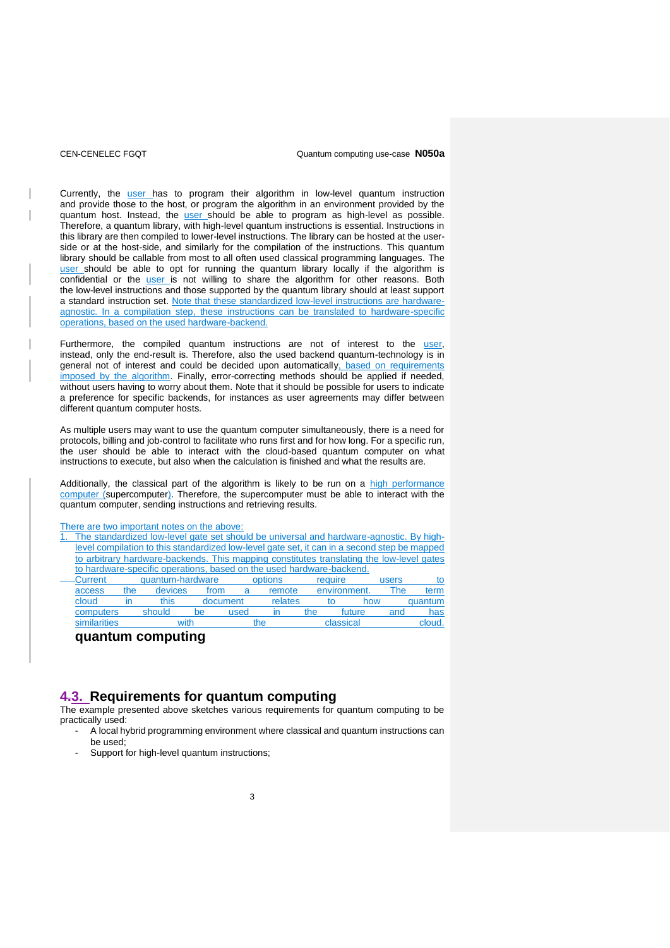### CEN-CENELEC FGQT Quantum computing use-case **N050a**

Currently, the user has to program their algorithm in low-level quantum instruction and provide those to the host, or program the algorithm in an environment provided by the quantum host. Instead, the <u>user</u> should be able to program as high-level as possible. Therefore, a quantum library, with high-level quantum instructions is essential. Instructions in this library are then compiled to lower-level instructions. The library can be hosted at the userside or at the host-side, and similarly for the compilation of the instructions. This quantum library should be callable from most to all often used classical programming languages. The user should be able to opt for running the quantum library locally if the algorithm is confidential or the *user* is not willing to share the algorithm for other reasons. Both the low-level instructions and those supported by the quantum library should at least support a standard instruction set. Note that these standardized low-level instructions are hardwareagnostic. In a compilation step, these instructions can be translated to hardware-specific operations, based on the used hardware-backend.

Furthermore, the compiled quantum instructions are not of interest to the user, instead, only the end-result is. Therefore, also the used backend quantum-technology is in general not of interest and could be decided upon automatically, based on requirements imposed by the algorithm. Finally, error-correcting methods should be applied if needed, without users having to worry about them. Note that it should be possible for users to indicate a preference for specific backends, for instances as user agreements may differ between different quantum computer hosts.

As multiple users may want to use the quantum computer simultaneously, there is a need for protocols, billing and job-control to facilitate who runs first and for how long. For a specific run, the user should be able to interact with the cloud-based quantum computer on what instructions to execute, but also when the calculation is finished and what the results are.

Additionally, the classical part of the algorithm is likely to be run on a high performance computer (supercomputer). Therefore, the supercomputer must be able to interact with the quantum computer, sending instructions and retrieving results.

There are two important notes on the above:

|                                                                      |  |                  |  | The standardized low-level gate set should be universal and hardware-agnostic. By high-      |         |         |  |       |    |
|----------------------------------------------------------------------|--|------------------|--|----------------------------------------------------------------------------------------------|---------|---------|--|-------|----|
|                                                                      |  |                  |  | level compilation to this standardized low-level gate set, it can in a second step be mapped |         |         |  |       |    |
|                                                                      |  |                  |  | to arbitrary hardware-backends. This mapping constitutes translating the low-level gates     |         |         |  |       |    |
| to hardware-specific operations, based on the used hardware-backend. |  |                  |  |                                                                                              |         |         |  |       |    |
| -Current -                                                           |  | quantum-hardware |  |                                                                                              | options | require |  | users | tΩ |
|                                                                      |  |                  |  |                                                                                              |         |         |  |       |    |

| access       | the | devices | trom |          | remote  |     | environment. |        | ™he | term    |
|--------------|-----|---------|------|----------|---------|-----|--------------|--------|-----|---------|
| cloud        |     | this    |      | document | relates |     | to           | how    |     | quantum |
| computers    |     | should  | be   | used     |         | the |              | future | and | has     |
| similarities |     | with    |      |          | the     |     | classical    |        |     | cloud.  |
|              |     |         |      |          |         |     |              |        |     |         |

**quantum computing**

## **4.3. Requirements for quantum computing**

The example presented above sketches various requirements for quantum computing to be practically used:

- A local hybrid programming environment where classical and quantum instructions can be used;
- Support for high-level quantum instructions: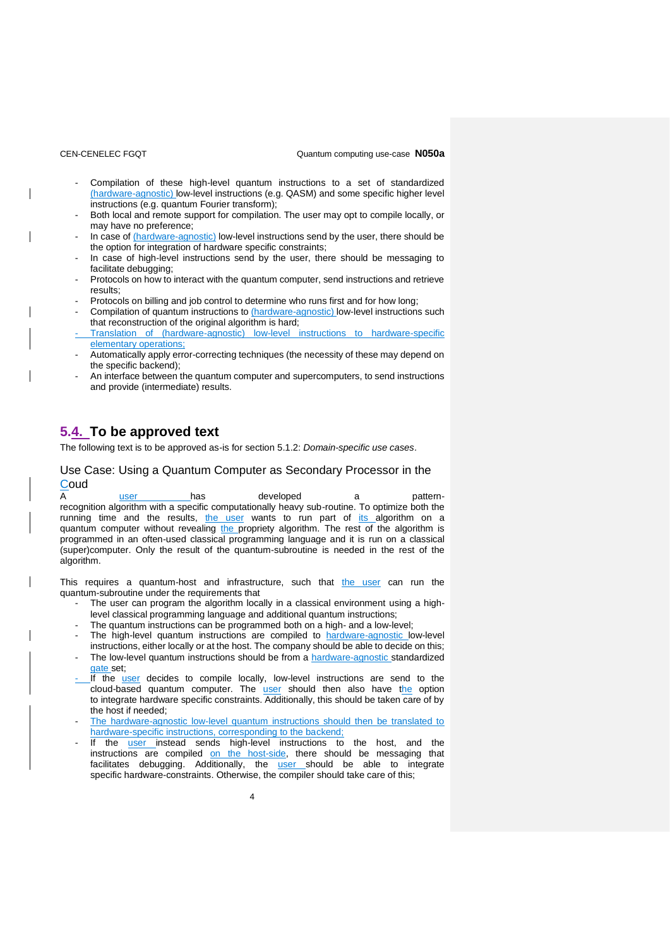- Compilation of these high-level quantum instructions to a set of standardized (hardware-agnostic) low-level instructions (e.g. QASM) and some specific higher level instructions (e.g. quantum Fourier transform);
- Both local and remote support for compilation. The user may opt to compile locally, or may have no preference;
- In case of (hardware-agnostic) low-level instructions send by the user, there should be the option for integration of hardware specific constraints;
- In case of high-level instructions send by the user, there should be messaging to facilitate debugging;
- Protocols on how to interact with the quantum computer, send instructions and retrieve results;
- Protocols on billing and job control to determine who runs first and for how long;
- Compilation of quantum instructions to (hardware-agnostic) low-level instructions such that reconstruction of the original algorithm is hard;
- Translation of (hardware-agnostic) low-level instructions to hardware-specific elementary operations;
- Automatically apply error-correcting techniques (the necessity of these may depend on the specific backend);
- An interface between the quantum computer and supercomputers, to send instructions and provide (intermediate) results.

# **5.4. To be approved text**

The following text is to be approved as-is for section 5.1.2: *Domain-specific use cases*.

## Use Case: Using a Quantum Computer as Secondary Processor in the **Coud**

A user has developed a patternrecognition algorithm with a specific computationally heavy sub-routine. To optimize both the running time and the results, the user wants to run part of its algorithm on a quantum computer without revealing the propriety algorithm. The rest of the algorithm is programmed in an often-used classical programming language and it is run on a classical (super)computer. Only the result of the quantum-subroutine is needed in the rest of the algorithm.

This requires a quantum-host and infrastructure, such that the user can run the quantum-subroutine under the requirements that

- The user can program the algorithm locally in a classical environment using a highlevel classical programming language and additional quantum instructions;
- The quantum instructions can be programmed both on a high- and a low-level;
- The high-level quantum instructions are compiled to hardware-agnostic low-level instructions, either locally or at the host. The company should be able to decide on this;
- The low-level quantum instructions should be from a hardware-agnostic standardized gate set:
- If the **user** decides to compile locally, low-level instructions are send to the cloud-based quantum computer. The user should then also have the option to integrate hardware specific constraints. Additionally, this should be taken care of by the host if needed;
- The hardware-agnostic low-level quantum instructions should then be translated to hardware-specific instructions, corresponding to the backend;
- If the user instead sends high-level instructions to the host, and the instructions are compiled on the host-side, there should be messaging that facilitates debugging. Additionally, the user should be able to integrate specific hardware-constraints. Otherwise, the compiler should take care of this;